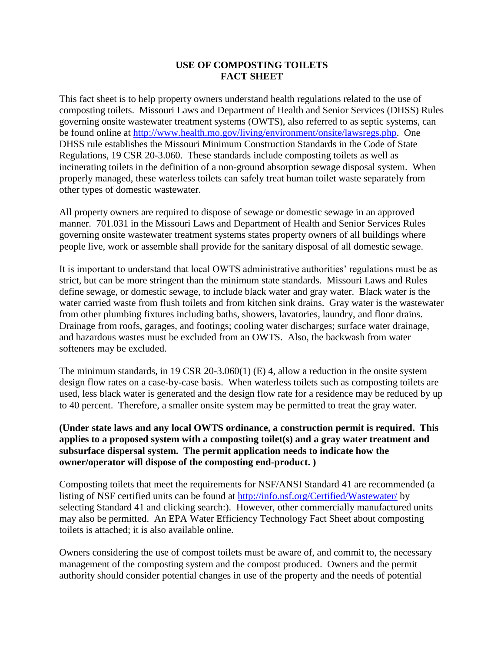## **USE OF COMPOSTING TOILETS FACT SHEET**

This fact sheet is to help property owners understand health regulations related to the use of composting toilets. Missouri Laws and Department of Health and Senior Services (DHSS) Rules governing onsite wastewater treatment systems (OWTS), also referred to as septic systems, can be found online at [http://www.health.mo.gov/living/environment/onsite/lawsregs.php.](http://www.health.mo.gov/living/environment/onsite/lawsregs.php) One DHSS rule establishes the Missouri Minimum Construction Standards in the Code of State Regulations, 19 CSR 20-3.060. These standards include composting toilets as well as incinerating toilets in the definition of a non-ground absorption sewage disposal system. When properly managed, these waterless toilets can safely treat human toilet waste separately from other types of domestic wastewater.

All property owners are required to dispose of sewage or domestic sewage in an approved manner. 701.031 in the Missouri Laws and Department of Health and Senior Services Rules governing onsite wastewater treatment systems states property owners of all buildings where people live, work or assemble shall provide for the sanitary disposal of all domestic sewage.

It is important to understand that local OWTS administrative authorities' regulations must be as strict, but can be more stringent than the minimum state standards. Missouri Laws and Rules define sewage, or domestic sewage, to include black water and gray water. Black water is the water carried waste from flush toilets and from kitchen sink drains. Gray water is the wastewater from other plumbing fixtures including baths, showers, lavatories, laundry, and floor drains. Drainage from roofs, garages, and footings; cooling water discharges; surface water drainage, and hazardous wastes must be excluded from an OWTS. Also, the backwash from water softeners may be excluded.

The minimum standards, in 19 CSR 20-3.060(1) (E) 4, allow a reduction in the onsite system design flow rates on a case-by-case basis. When waterless toilets such as composting toilets are used, less black water is generated and the design flow rate for a residence may be reduced by up to 40 percent. Therefore, a smaller onsite system may be permitted to treat the gray water.

## **(Under state laws and any local OWTS ordinance, a construction permit is required. This applies to a proposed system with a composting toilet(s) and a gray water treatment and subsurface dispersal system. The permit application needs to indicate how the owner/operator will dispose of the composting end-product. )**

Composting toilets that meet the requirements for NSF/ANSI Standard 41 are recommended (a listing of NSF certified units can be found at<http://info.nsf.org/Certified/Wastewater/> by selecting Standard 41 and clicking search:). However, other commercially manufactured units may also be permitted. An EPA Water Efficiency Technology Fact Sheet about composting toilets is attached; it is also available online.

Owners considering the use of compost toilets must be aware of, and commit to, the necessary management of the composting system and the compost produced. Owners and the permit authority should consider potential changes in use of the property and the needs of potential